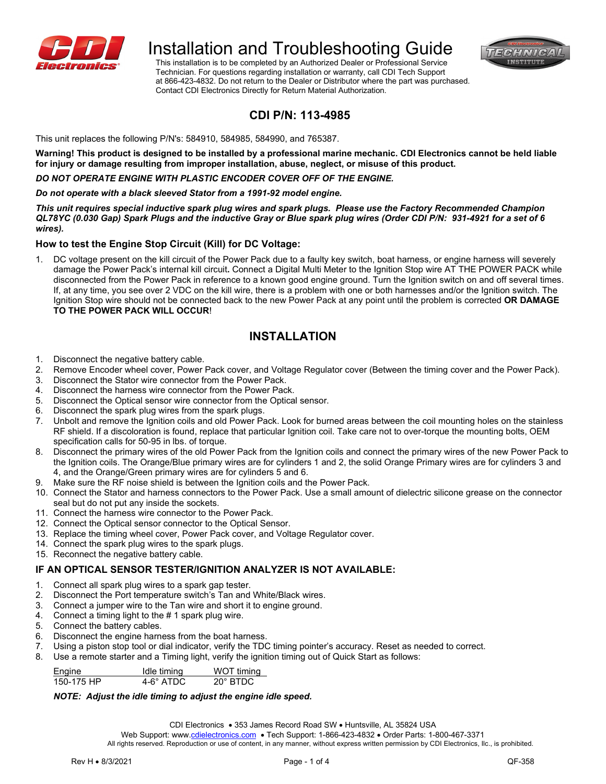



 Technician. For questions regarding installation or warranty, call CDI Tech Support at 866-423-4832. Do not return to the Dealer or Distributor where the part was purchased. Contact CDI Electronics Directly for Return Material Authorization.

# **CDI P/N: 113-4985**

This unit replaces the following P/N's: 584910, 584985, 584990, and 765387.

**Warning! This product is designed to be installed by a professional marine mechanic. CDI Electronics cannot be held liable for injury or damage resulting from improper installation, abuse, neglect, or misuse of this product.**

#### *DO NOT OPERATE ENGINE WITH PLASTIC ENCODER COVER OFF OF THE ENGINE.*

#### *Do not operate with a black sleeved Stator from a 1991-92 model engine.*

*This unit requires special inductive spark plug wires and spark plugs. Please use the Factory Recommended Champion QL78YC (0.030 Gap) Spark Plugs and the inductive Gray or Blue spark plug wires (Order CDI P/N: 931-4921 for a set of 6 wires).* 

# **How to test the Engine Stop Circuit (Kill) for DC Voltage:**

1. DC voltage present on the kill circuit of the Power Pack due to a faulty key switch, boat harness, or engine harness will severely damage the Power Pack's internal kill circuit**.** Connect a Digital Multi Meter to the Ignition Stop wire AT THE POWER PACK while disconnected from the Power Pack in reference to a known good engine ground. Turn the Ignition switch on and off several times. If, at any time, you see over 2 VDC on the kill wire, there is a problem with one or both harnesses and/or the Ignition switch. The Ignition Stop wire should not be connected back to the new Power Pack at any point until the problem is corrected **OR DAMAGE TO THE POWER PACK WILL OCCUR**!

# **INSTALLATION**

- 1. Disconnect the negative battery cable.<br>2. Remove Encoder wheel cover. Power
- 2. Remove Encoder wheel cover, Power Pack cover, and Voltage Regulator cover (Between the timing cover and the Power Pack).<br>3. Disconnect the Stator wire connector from the Power Pack
- 3. Disconnect the Stator wire connector from the Power Pack.<br>4. Disconnect the harness wire connector from the Power Pac
- Disconnect the harness wire connector from the Power Pack.
- 5. Disconnect the Optical sensor wire connector from the Optical sensor.
- 6. Disconnect the spark plug wires from the spark plugs.
- 7. Unbolt and remove the Ignition coils and old Power Pack. Look for burned areas between the coil mounting holes on the stainless RF shield. If a discoloration is found, replace that particular Ignition coil. Take care not to over-torque the mounting bolts, OEM specification calls for 50-95 in lbs. of torque.
- 8. Disconnect the primary wires of the old Power Pack from the Ignition coils and connect the primary wires of the new Power Pack to the Ignition coils. The Orange/Blue primary wires are for cylinders 1 and 2, the solid Orange Primary wires are for cylinders 3 and 4, and the Orange/Green primary wires are for cylinders 5 and 6.
- 9. Make sure the RF noise shield is between the Ignition coils and the Power Pack.
- 10. Connect the Stator and harness connectors to the Power Pack. Use a small amount of dielectric silicone grease on the connector seal but do not put any inside the sockets.
- 11. Connect the harness wire connector to the Power Pack.
- 12. Connect the Optical sensor connector to the Optical Sensor.
- 13. Replace the timing wheel cover, Power Pack cover, and Voltage Regulator cover.
- 14. Connect the spark plug wires to the spark plugs.
- 15. Reconnect the negative battery cable.

# **IF AN OPTICAL SENSOR TESTER/IGNITION ANALYZER IS NOT AVAILABLE:**

- 1. Connect all spark plug wires to a spark gap tester.
- 2. Disconnect the Port temperature switch's Tan and White/Black wires.
- 3. Connect a jumper wire to the Tan wire and short it to engine ground.
- 4. Connect a timing light to the  $# 1$  spark plug wire.<br>5. Connect the battery cables.
- Connect the battery cables.
- 6. Disconnect the engine harness from the boat harness.
- 7. Using a piston stop tool or dial indicator, verify the TDC timing pointer's accuracy. Reset as needed to correct.
- 8. Use a remote starter and a Timing light, verify the ignition timing out of Quick Start as follows:

| Engine     | Idle timing | WOT timing      |  |
|------------|-------------|-----------------|--|
| 150-175 HP | 4-6° ATDC   | $20^\circ$ BTDC |  |

#### *NOTE: Adjust the idle timing to adjust the engine idle speed.*

CDI Electronics • 353 James Record Road SW • Huntsville, AL 35824 USA

Web Support: www[.cdielectronics.com](http://www.cdielectronics.com/) . Tech Support: 1-866-423-4832 . Order Parts: 1-800-467-3371

All rights reserved. Reproduction or use of content, in any manner, without express written permission by CDI Electronics, Ilc., is prohibited.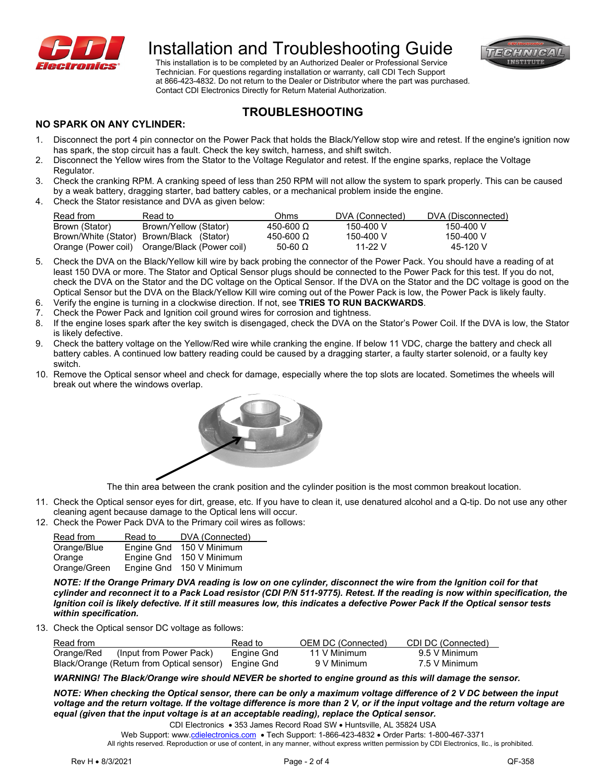



 Technician. For questions regarding installation or warranty, call CDI Tech Support at 866-423-4832. Do not return to the Dealer or Distributor where the part was purchased. Contact CDI Electronics Directly for Return Material Authorization.

# **TROUBLESHOOTING**

#### **NO SPARK ON ANY CYLINDER:**

- 1. Disconnect the port 4 pin connector on the Power Pack that holds the Black/Yellow stop wire and retest. If the engine's ignition now has spark, the stop circuit has a fault. Check the key switch, harness, and shift switch.
- 2. Disconnect the Yellow wires from the Stator to the Voltage Regulator and retest. If the engine sparks, replace the Voltage Regulator.
- 3. Check the cranking RPM. A cranking speed of less than 250 RPM will not allow the system to spark properly. This can be caused by a weak battery, dragging starter, bad battery cables, or a mechanical problem inside the engine.
- 4. Check the Stator resistance and DVA as given below:

| Read from      | Read to:                                      | Ohms           | DVA (Connected) | DVA (Disconnected) |
|----------------|-----------------------------------------------|----------------|-----------------|--------------------|
| Brown (Stator) | Brown/Yellow (Stator)                         | 450-600 Ω      | 150-400 V       | 150-400 V          |
|                | Brown/White (Stator) Brown/Black (Stator)     | 450-600 Ω      | 150-400 V       | 150-400 V          |
|                | Orange (Power coil) Orange/Black (Power coil) | 50-60 $\Omega$ | 11-22 V         | 45-120 V           |

- 5. Check the DVA on the Black/Yellow kill wire by back probing the connector of the Power Pack. You should have a reading of at least 150 DVA or more. The Stator and Optical Sensor plugs should be connected to the Power Pack for this test. If you do not, check the DVA on the Stator and the DC voltage on the Optical Sensor. If the DVA on the Stator and the DC voltage is good on the Optical Sensor but the DVA on the Black/Yellow Kill wire coming out of the Power Pack is low, the Power Pack is likely faulty.
- 6. Verify the engine is turning in a clockwise direction. If not, see **TRIES TO RUN BACKWARDS**.
- 7. Check the Power Pack and Ignition coil ground wires for corrosion and tightness.
- 8. If the engine loses spark after the key switch is disengaged, check the DVA on the Stator's Power Coil. If the DVA is low, the Stator is likely defective.
- 9. Check the battery voltage on the Yellow/Red wire while cranking the engine. If below 11 VDC, charge the battery and check all battery cables. A continued low battery reading could be caused by a dragging starter, a faulty starter solenoid, or a faulty key switch.
- 10. Remove the Optical sensor wheel and check for damage, especially where the top slots are located. Sometimes the wheels will break out where the windows overlap.



The thin area between the crank position and the cylinder position is the most common breakout location.

- 11. Check the Optical sensor eyes for dirt, grease, etc. If you have to clean it, use denatured alcohol and a Q-tip. Do not use any other cleaning agent because damage to the Optical lens will occur.
- 12. Check the Power Pack DVA to the Primary coil wires as follows:

| Read from    | Read to           | DVA (Connected) |
|--------------|-------------------|-----------------|
| Orange/Blue  | Engine Gnd        | 150 V Minimum   |
| Orange       | <b>Engine Gnd</b> | 150 V Minimum   |
| Orange/Green | Engine Gnd        | 150 V Minimum   |

*NOTE: If the Orange Primary DVA reading is low on one cylinder, disconnect the wire from the Ignition coil for that cylinder and reconnect it to a Pack Load resistor (CDI P/N 511-9775). Retest. If the reading is now within specification, the Ignition coil is likely defective. If it still measures low, this indicates a defective Power Pack If the Optical sensor tests within specification.*

13. Check the Optical sensor DC voltage as follows:

| Read from                                            | Read to    | OEM DC (Connected) | CDI DC (Connected) |
|------------------------------------------------------|------------|--------------------|--------------------|
| Orange/Red<br>(Input from Power Pack)                | Engine Gnd | 11 V Minimum       | 9.5 V Minimum      |
| Black/Orange (Return from Optical sensor) Engine Gnd |            | 9 V Minimum        | 7.5 V Minimum      |

*WARNING! The Black/Orange wire should NEVER be shorted to engine ground as this will damage the sensor.*

*NOTE: When checking the Optical sensor, there can be only a maximum voltage difference of 2 V DC between the input voltage and the return voltage. If the voltage difference is more than 2 V, or if the input voltage and the return voltage are equal (given that the input voltage is at an acceptable reading), replace the Optical sensor.* 

CDI Electronics • 353 James Record Road SW • Huntsville, AL 35824 USA

Web Support: www[.cdielectronics.com](http://www.cdielectronics.com/) . Tech Support: 1-866-423-4832 . Order Parts: 1-800-467-3371

All rights reserved. Reproduction or use of content, in any manner, without express written permission by CDI Electronics, Ilc., is prohibited.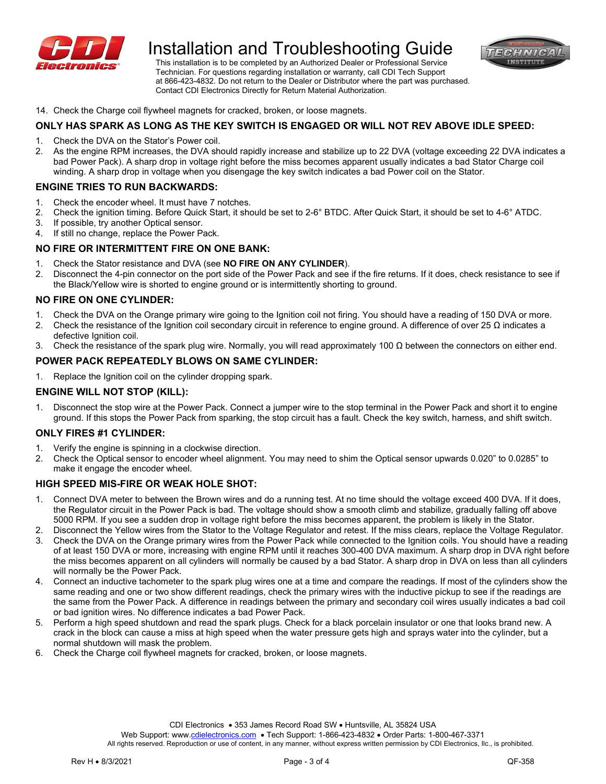

 Technician. For questions regarding installation or warranty, call CDI Tech Support at 866-423-4832. Do not return to the Dealer or Distributor where the part was purchased. Contact CDI Electronics Directly for Return Material Authorization.



14. Check the Charge coil flywheel magnets for cracked, broken, or loose magnets.

# **ONLY HAS SPARK AS LONG AS THE KEY SWITCH IS ENGAGED OR WILL NOT REV ABOVE IDLE SPEED:**

- 1. Check the DVA on the Stator's Power coil.
- 2. As the engine RPM increases, the DVA should rapidly increase and stabilize up to 22 DVA (voltage exceeding 22 DVA indicates a bad Power Pack). A sharp drop in voltage right before the miss becomes apparent usually indicates a bad Stator Charge coil winding. A sharp drop in voltage when you disengage the key switch indicates a bad Power coil on the Stator.

### **ENGINE TRIES TO RUN BACKWARDS:**

- 1. Check the encoder wheel. It must have 7 notches.
- 2. Check the ignition timing. Before Quick Start, it should be set to 2-6° BTDC. After Quick Start, it should be set to 4-6° ATDC.
- 3. If possible, try another Optical sensor.<br>4. If still no change, replace the Power Pa
- If still no change, replace the Power Pack.

#### **NO FIRE OR INTERMITTENT FIRE ON ONE BANK:**

- 1. Check the Stator resistance and DVA (see **NO FIRE ON ANY CYLINDER**).
- 2. Disconnect the 4-pin connector on the port side of the Power Pack and see if the fire returns. If it does, check resistance to see if the Black/Yellow wire is shorted to engine ground or is intermittently shorting to ground.

#### **NO FIRE ON ONE CYLINDER:**

- 1. Check the DVA on the Orange primary wire going to the Ignition coil not firing. You should have a reading of 150 DVA or more.
- 2. Check the resistance of the Ignition coil secondary circuit in reference to engine ground. A difference of over 25 Ω indicates a defective Ignition coil.
- 3. Check the resistance of the spark plug wire. Normally, you will read approximately 100  $\Omega$  between the connectors on either end.

# **POWER PACK REPEATEDLY BLOWS ON SAME CYLINDER:**

1. Replace the Ignition coil on the cylinder dropping spark.

#### **ENGINE WILL NOT STOP (KILL):**

1. Disconnect the stop wire at the Power Pack. Connect a jumper wire to the stop terminal in the Power Pack and short it to engine ground. If this stops the Power Pack from sparking, the stop circuit has a fault. Check the key switch, harness, and shift switch.

#### **ONLY FIRES #1 CYLINDER:**

- 1. Verify the engine is spinning in a clockwise direction.
- 2. Check the Optical sensor to encoder wheel alignment. You may need to shim the Optical sensor upwards 0.020" to 0.0285" to make it engage the encoder wheel.

# **HIGH SPEED MIS-FIRE OR WEAK HOLE SHOT:**

- 1. Connect DVA meter to between the Brown wires and do a running test. At no time should the voltage exceed 400 DVA. If it does, the Regulator circuit in the Power Pack is bad. The voltage should show a smooth climb and stabilize, gradually falling off above 5000 RPM. If you see a sudden drop in voltage right before the miss becomes apparent, the problem is likely in the Stator.
- 2. Disconnect the Yellow wires from the Stator to the Voltage Regulator and retest. If the miss clears, replace the Voltage Regulator.
- 3. Check the DVA on the Orange primary wires from the Power Pack while connected to the Ignition coils. You should have a reading of at least 150 DVA or more, increasing with engine RPM until it reaches 300-400 DVA maximum. A sharp drop in DVA right before the miss becomes apparent on all cylinders will normally be caused by a bad Stator. A sharp drop in DVA on less than all cylinders will normally be the Power Pack.
- 4. Connect an inductive tachometer to the spark plug wires one at a time and compare the readings. If most of the cylinders show the same reading and one or two show different readings, check the primary wires with the inductive pickup to see if the readings are the same from the Power Pack. A difference in readings between the primary and secondary coil wires usually indicates a bad coil or bad ignition wires. No difference indicates a bad Power Pack.
- 5. Perform a high speed shutdown and read the spark plugs. Check for a black porcelain insulator or one that looks brand new. A crack in the block can cause a miss at high speed when the water pressure gets high and sprays water into the cylinder, but a normal shutdown will mask the problem.
- 6. Check the Charge coil flywheel magnets for cracked, broken, or loose magnets.

Web Support: www[.cdielectronics.com](http://www.cdielectronics.com/) . Tech Support: 1-866-423-4832 . Order Parts: 1-800-467-3371